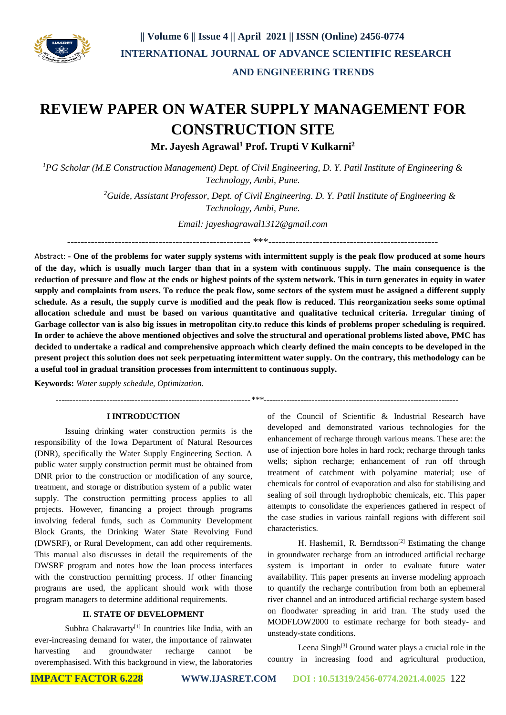

### **AND ENGINEERING TRENDS**

# **REVIEW PAPER ON WATER SUPPLY MANAGEMENT FOR CONSTRUCTION SITE**

**Mr. Jayesh Agrawal<sup>1</sup> Prof. Trupti V Kulkarni<sup>2</sup>**

*<sup>1</sup>PG Scholar (M.E Construction Management) Dept. of Civil Engineering, D. Y. Patil Institute of Engineering & Technology, Ambi, Pune.*

> *<sup>2</sup>Guide, Assistant Professor, Dept. of Civil Engineering. D. Y. Patil Institute of Engineering & Technology, Ambi, Pune.*

> > *Email: jayeshagrawal1312@gmail.com*

------------------------------------------------------ \*\*\*--------------------------------------------------

Abstract: **- One of the problems for water supply systems with intermittent supply is the peak flow produced at some hours of the day, which is usually much larger than that in a system with continuous supply. The main consequence is the reduction of pressure and flow at the ends or highest points of the system network. This in turn generates in equity in water supply and complaints from users. To reduce the peak flow, some sectors of the system must be assigned a different supply schedule. As a result, the supply curve is modified and the peak flow is reduced. This reorganization seeks some optimal allocation schedule and must be based on various quantitative and qualitative technical criteria. Irregular timing of Garbage collector van is also big issues in metropolitan city.to reduce this kinds of problems proper scheduling is required. In order to achieve the above mentioned objectives and solve the structural and operational problems listed above, PMC has decided to undertake a radical and comprehensive approach which clearly defined the main concepts to be developed in the present project this solution does not seek perpetuating intermittent water supply. On the contrary, this methodology can be a useful tool in gradual transition processes from intermittent to continuous supply.**

**Keywords:** *Water supply schedule, Optimization.*

 *---------------------------------------------------------------------\*\*\*---------------------------------------------------------------------*

#### **I INTRODUCTION**

Issuing drinking water construction permits is the responsibility of the Iowa Department of Natural Resources (DNR), specifically the Water Supply Engineering Section. A public water supply construction permit must be obtained from DNR prior to the construction or modification of any source, treatment, and storage or distribution system of a public water supply. The construction permitting process applies to all projects. However, financing a project through programs involving federal funds, such as Community Development Block Grants, the Drinking Water State Revolving Fund (DWSRF), or Rural Development, can add other requirements. This manual also discusses in detail the requirements of the DWSRF program and notes how the loan process interfaces with the construction permitting process. If other financing programs are used, the applicant should work with those program managers to determine additional requirements.

#### **II. STATE OF DEVELOPMENT**

Subhra Chakravarty<sup>[1]</sup> In countries like India, with an ever-increasing demand for water, the importance of rainwater harvesting and groundwater recharge cannot be overemphasised. With this background in view, the laboratories

of the Council of Scientific & Industrial Research have developed and demonstrated various technologies for the enhancement of recharge through various means. These are: the use of injection bore holes in hard rock; recharge through tanks wells; siphon recharge; enhancement of run off through treatment of catchment with polyamine material; use of chemicals for control of evaporation and also for stabilising and sealing of soil through hydrophobic chemicals, etc. This paper attempts to consolidate the experiences gathered in respect of the case studies in various rainfall regions with different soil characteristics.

H. Hashemi1, R. Berndtsson<sup>[2]</sup> Estimating the change in groundwater recharge from an introduced artificial recharge system is important in order to evaluate future water availability. This paper presents an inverse modeling approach to quantify the recharge contribution from both an ephemeral river channel and an introduced artificial recharge system based on floodwater spreading in arid Iran. The study used the MODFLOW2000 to estimate recharge for both steady- and unsteady-state conditions.

Leena Singh<sup>[3]</sup> Ground water plays a crucial role in the country in increasing food and agricultural production,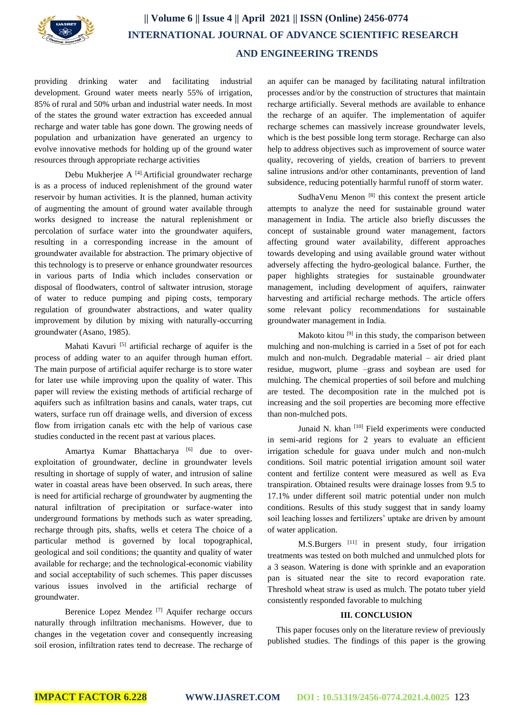

## **|| Volume 6 || Issue 4 || April 2021 || ISSN (Online) 2456-0774 INTERNATIONAL JOURNAL OF ADVANCE SCIENTIFIC RESEARCH AND ENGINEERING TRENDS**

providing drinking water and facilitating industrial development. Ground water meets nearly 55% of irrigation, 85% of rural and 50% urban and industrial water needs. In most of the states the ground water extraction has exceeded annual recharge and water table has gone down. The growing needs of population and urbanization have generated an urgency to evolve innovative methods for holding up of the ground water resources through appropriate recharge activities

Debu Mukherjee A  $[4]$ . Artificial groundwater recharge is as a process of induced replenishment of the ground water reservoir by human activities. It is the planned, human activity of augmenting the amount of ground water available through works designed to increase the natural replenishment or percolation of surface water into the groundwater aquifers, resulting in a corresponding increase in the amount of groundwater available for abstraction. The primary objective of this technology is to preserve or enhance groundwater resources in various parts of India which includes conservation or disposal of floodwaters, control of saltwater intrusion, storage of water to reduce pumping and piping costs, temporary regulation of groundwater abstractions, and water quality improvement by dilution by mixing with naturally-occurring groundwater (Asano, 1985).

Mahati Kavuri<sup>[5]</sup> artificial recharge of aquifer is the process of adding water to an aquifer through human effort. The main purpose of artificial aquifer recharge is to store water for later use while improving upon the quality of water. This paper will review the existing methods of artificial recharge of aquifers such as infiltration basins and canals, water traps, cut waters, surface run off drainage wells, and diversion of excess flow from irrigation canals etc with the help of various case studies conducted in the recent past at various places.

Amartya Kumar Bhattacharya <sup>[6]</sup> due to overexploitation of groundwater, decline in groundwater levels resulting in shortage of supply of water, and intrusion of saline water in coastal areas have been observed. In such areas, there is need for artificial recharge of groundwater by augmenting the natural infiltration of precipitation or surface-water into underground formations by methods such as water spreading, recharge through pits, shafts, wells et cetera The choice of a particular method is governed by local topographical, geological and soil conditions; the quantity and quality of water available for recharge; and the technological-economic viability and social acceptability of such schemes. This paper discusses various issues involved in the artificial recharge of groundwater.

Berenice Lopez Mendez [7] Aquifer recharge occurs naturally through infiltration mechanisms. However, due to changes in the vegetation cover and consequently increasing soil erosion, infiltration rates tend to decrease. The recharge of an aquifer can be managed by facilitating natural infiltration processes and/or by the construction of structures that maintain recharge artificially. Several methods are available to enhance the recharge of an aquifer. The implementation of aquifer recharge schemes can massively increase groundwater levels, which is the best possible long term storage. Recharge can also help to address objectives such as improvement of source water quality, recovering of yields, creation of barriers to prevent saline intrusions and/or other contaminants, prevention of land subsidence, reducing potentially harmful runoff of storm water.

SudhaVenu Menon  $[8]$  this context the present article attempts to analyze the need for sustainable ground water management in India. The article also briefly discusses the concept of sustainable ground water management, factors affecting ground water availability, different approaches towards developing and using available ground water without adversely affecting the hydro-geological balance. Further, the paper highlights strategies for sustainable groundwater management, including development of aquifers, rainwater harvesting and artificial recharge methods. The article offers some relevant policy recommendations for sustainable groundwater management in India.

Makoto kitou<sup>[9]</sup> in this study, the comparison between mulching and non-mulching is carried in a 5set of pot for each mulch and non-mulch. Degradable material – air dried plant residue, mugwort, plume –grass and soybean are used for mulching. The chemical properties of soil before and mulching are tested. The decomposition rate in the mulched pot is increasing and the soil properties are becoming more effective than non-mulched pots.

Junaid N. khan [10] Field experiments were conducted in semi-arid regions for 2 years to evaluate an efficient irrigation schedule for guava under mulch and non-mulch conditions. Soil matric potential irrigation amount soil water content and fertilize content were measured as well as Eva transpiration. Obtained results were drainage losses from 9.5 to 17.1% under different soil matric potential under non mulch conditions. Results of this study suggest that in sandy loamy soil leaching losses and fertilizers' uptake are driven by amount of water application.

M.S.Burgers<sup>[11]</sup> in present study, four irrigation treatments was tested on both mulched and unmulched plots for a 3 season. Watering is done with sprinkle and an evaporation pan is situated near the site to record evaporation rate. Threshold wheat straw is used as mulch. The potato tuber yield consistently responded favorable to mulching

#### **III. CONCLUSION**

This paper focuses only on the literature review of previously published studies. The findings of this paper is the growing